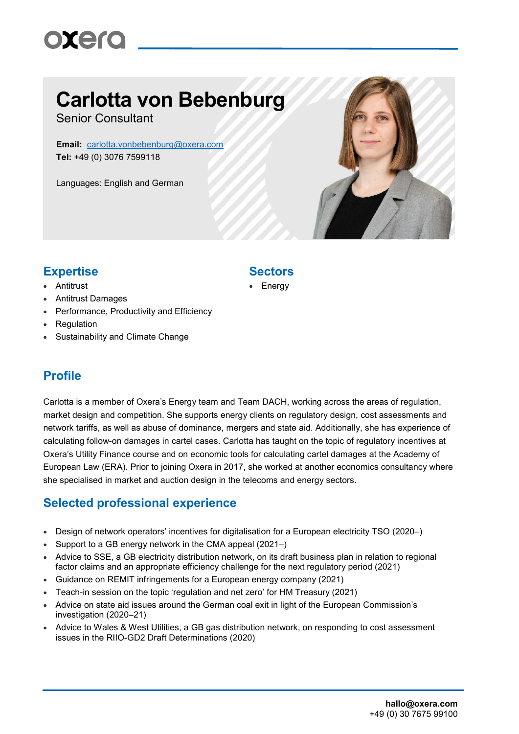# oxero

## **Carlotta von Bebenburg**

Senior Consultant

**Email:** [carlotta.vonbebenburg@oxera.com](mailto:carlotta.vonbebenburg@oxera.com) **Tel:** +49 (0) 3076 7599118

Languages: English and German



### **Expertise Sectors**

- Antitrust
- Antitrust Damages
- Performance, Productivity and Efficiency
- Regulation
- Sustainability and Climate Change

#### **Profile**

Carlotta is a member of Oxera's Energy team and Team DACH, working across the areas of regulation, market design and competition. She supports energy clients on regulatory design, cost assessments and network tariffs, as well as abuse of dominance, mergers and state aid. Additionally, she has experience of calculating follow-on damages in cartel cases. Carlotta has taught on the topic of regulatory incentives at Oxera's Utility Finance course and on economic tools for calculating cartel damages at the Academy of European Law (ERA). Prior to joining Oxera in 2017, she worked at another economics consultancy where she specialised in market and auction design in the telecoms and energy sectors.

#### **Selected professional experience**

- Design of network operators' incentives for digitalisation for a European electricity TSO (2020–)
- Support to a GB energy network in the CMA appeal (2021–)
- Advice to SSE, a GB electricity distribution network, on its draft business plan in relation to regional factor claims and an appropriate efficiency challenge for the next regulatory period (2021)
- Guidance on REMIT infringements for a European energy company (2021)
- Teach-in session on the topic 'regulation and net zero' for HM Treasury (2021)
- Advice on state aid issues around the German coal exit in light of the European Commission's investigation (2020–21)
- Advice to Wales & West Utilities, a GB gas distribution network, on responding to cost assessment issues in the RIIO-GD2 Draft Determinations (2020)

**Energy**